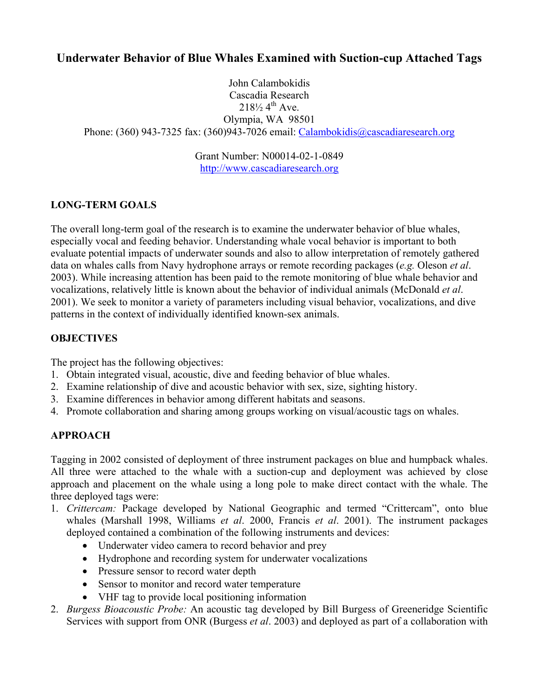# **Underwater Behavior of Blue Whales Examined with Suction-cup Attached Tags**

John Calambokidis Cascadia Research  $218\frac{1}{2}$  4<sup>th</sup> Ave. Olympia, WA 98501 Phone: (360) 943-7325 fax: (360)943-7026 email: Calambokidis@cascadiaresearch.org

> Grant Number: N00014-02-1-0849 http://www.cascadiaresearch.org

### **LONG-TERM GOALS**

The overall long-term goal of the research is to examine the underwater behavior of blue whales, especially vocal and feeding behavior. Understanding whale vocal behavior is important to both evaluate potential impacts of underwater sounds and also to allow interpretation of remotely gathered data on whales calls from Navy hydrophone arrays or remote recording packages (*e.g.* Oleson *et al*. 2003). While increasing attention has been paid to the remote monitoring of blue whale behavior and vocalizations, relatively little is known about the behavior of individual animals (McDonald *et al*. 2001). We seek to monitor a variety of parameters including visual behavior, vocalizations, and dive patterns in the context of individually identified known-sex animals.

### **OBJECTIVES**

The project has the following objectives:

- 1. Obtain integrated visual, acoustic, dive and feeding behavior of blue whales.
- 2. Examine relationship of dive and acoustic behavior with sex, size, sighting history.
- 3. Examine differences in behavior among different habitats and seasons.
- 4. Promote collaboration and sharing among groups working on visual/acoustic tags on whales.

### **APPROACH**

Tagging in 2002 consisted of deployment of three instrument packages on blue and humpback whales. All three were attached to the whale with a suction-cup and deployment was achieved by close approach and placement on the whale using a long pole to make direct contact with the whale. The three deployed tags were:

- 1. *Crittercam:* Package developed by National Geographic and termed "Crittercam", onto blue whales (Marshall 1998, Williams *et al*. 2000, Francis *et al*. 2001). The instrument packages deployed contained a combination of the following instruments and devices:
	- Underwater video camera to record behavior and prey
	- Hydrophone and recording system for underwater vocalizations
	- Pressure sensor to record water depth
	- Sensor to monitor and record water temperature
	- VHF tag to provide local positioning information
- 2. *Burgess Bioacoustic Probe:* An acoustic tag developed by Bill Burgess of Greeneridge Scientific Services with support from ONR (Burgess *et al*. 2003) and deployed as part of a collaboration with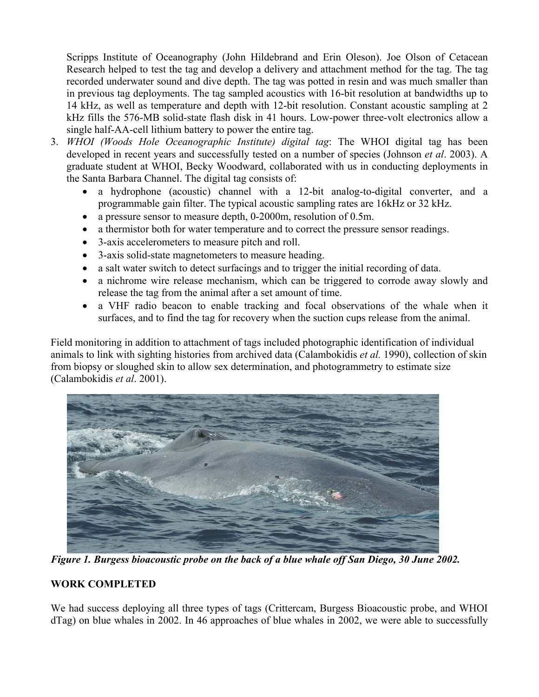Scripps Institute of Oceanography (John Hildebrand and Erin Oleson). Joe Olson of Cetacean Research helped to test the tag and develop a delivery and attachment method for the tag. The tag recorded underwater sound and dive depth. The tag was potted in resin and was much smaller than in previous tag deployments. The tag sampled acoustics with 16-bit resolution at bandwidths up to 14 kHz, as well as temperature and depth with 12-bit resolution. Constant acoustic sampling at 2 kHz fills the 576-MB solid-state flash disk in 41 hours. Low-power three-volt electronics allow a single half-AA-cell lithium battery to power the entire tag.

- 3. *WHOI (Woods Hole Oceanographic Institute) digital tag*: The WHOI digital tag has been developed in recent years and successfully tested on a number of species (Johnson *et al*. 2003). A graduate student at WHOI, Becky Woodward, collaborated with us in conducting deployments in the Santa Barbara Channel. The digital tag consists of:
	- a hydrophone (acoustic) channel with a 12-bit analog-to-digital converter, and a programmable gain filter. The typical acoustic sampling rates are 16kHz or 32 kHz.
	- a pressure sensor to measure depth, 0-2000m, resolution of 0.5m.
	- a thermistor both for water temperature and to correct the pressure sensor readings.
	- 3-axis accelerometers to measure pitch and roll.
	- 3-axis solid-state magnetometers to measure heading.
	- a salt water switch to detect surfacings and to trigger the initial recording of data.
	- a nichrome wire release mechanism, which can be triggered to corrode away slowly and release the tag from the animal after a set amount of time.
	- a VHF radio beacon to enable tracking and focal observations of the whale when it surfaces, and to find the tag for recovery when the suction cups release from the animal.

Field monitoring in addition to attachment of tags included photographic identification of individual animals to link with sighting histories from archived data (Calambokidis *et al.* 1990), collection of skin from biopsy or sloughed skin to allow sex determination, and photogrammetry to estimate size (Calambokidis *et al*. 2001).



*Figure 1. Burgess bioacoustic probe on the back of a blue whale off San Diego, 30 June 2002.* 

## **WORK COMPLETED**

We had success deploying all three types of tags (Crittercam, Burgess Bioacoustic probe, and WHOI dTag) on blue whales in 2002. In 46 approaches of blue whales in 2002, we were able to successfully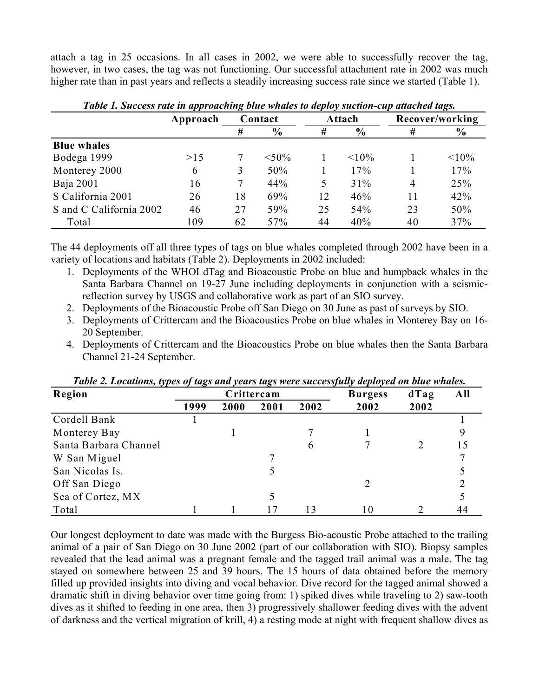attach a tag in 25 occasions. In all cases in 2002, we were able to successfully recover the tag, however, in two cases, the tag was not functioning. Our successful attachment rate in 2002 was much higher rate than in past years and reflects a steadily increasing success rate since we started (Table 1).

|                         | Approach | Contact |               | Attach |               | Recover/working |               |
|-------------------------|----------|---------|---------------|--------|---------------|-----------------|---------------|
|                         |          | #       | $\frac{0}{0}$ | #      | $\frac{6}{9}$ | #               | $\frac{6}{9}$ |
| <b>Blue whales</b>      |          |         |               |        |               |                 |               |
| Bodega 1999             | >15      |         | $< 50\%$      |        | $< 10\%$      |                 | $< 10\%$      |
| Monterey 2000           | 6        | 3       | 50%           |        | 17%           |                 | 17%           |
| Baja 2001               | 16       | 7       | 44%           | 5      | 31%           | 4               | 25%           |
| S California 2001       | 26       | 18      | 69%           | 12     | 46%           | 11              | 42%           |
| S and C California 2002 | 46       | 27      | 59%           | 25     | 54%           | 23              | 50%           |
| Total                   | 109      | 62      | 57%           | 44     | 40%           | 40              | 37%           |

*Table 1. Success rate in approaching blue whales to deploy suction-cup attached tags.* 

The 44 deployments off all three types of tags on blue whales completed through 2002 have been in a variety of locations and habitats (Table 2). Deployments in 2002 included:

- 1. Deployments of the WHOI dTag and Bioacoustic Probe on blue and humpback whales in the Santa Barbara Channel on 19-27 June including deployments in conjunction with a seismicreflection survey by USGS and collaborative work as part of an SIO survey.
- 2. Deployments of the Bioacoustic Probe off San Diego on 30 June as past of surveys by SIO.
- 3. Deployments of Crittercam and the Bioacoustics Probe on blue whales in Monterey Bay on 16- 20 September.
- 4. Deployments of Crittercam and the Bioacoustics Probe on blue whales then the Santa Barbara Channel 21-24 September.

| Region                |      |      | Crittercam | <b>Burgess</b> | dTag | All  |    |
|-----------------------|------|------|------------|----------------|------|------|----|
|                       | 1999 | 2000 | 2001       | 2002           | 2002 | 2002 |    |
| Cordell Bank          |      |      |            |                |      |      |    |
| Monterey Bay          |      |      |            |                |      |      |    |
| Santa Barbara Channel |      |      |            | $\mathfrak b$  |      |      | 15 |
| W San Miguel          |      |      |            |                |      |      |    |
| San Nicolas Is.       |      |      |            |                |      |      |    |
| Off San Diego         |      |      |            |                |      |      |    |
| Sea of Cortez, MX     |      |      |            |                |      |      |    |
| Total                 |      |      |            |                |      |      |    |

*Table 2. Locations, types of tags and years tags were successfully deployed on blue whales.* 

Our longest deployment to date was made with the Burgess Bio-acoustic Probe attached to the trailing animal of a pair of San Diego on 30 June 2002 (part of our collaboration with SIO). Biopsy samples revealed that the lead animal was a pregnant female and the tagged trail animal was a male. The tag stayed on somewhere between 25 and 39 hours. The 15 hours of data obtained before the memory filled up provided insights into diving and vocal behavior. Dive record for the tagged animal showed a dramatic shift in diving behavior over time going from: 1) spiked dives while traveling to 2) saw-tooth dives as it shifted to feeding in one area, then 3) progressively shallower feeding dives with the advent of darkness and the vertical migration of krill, 4) a resting mode at night with frequent shallow dives as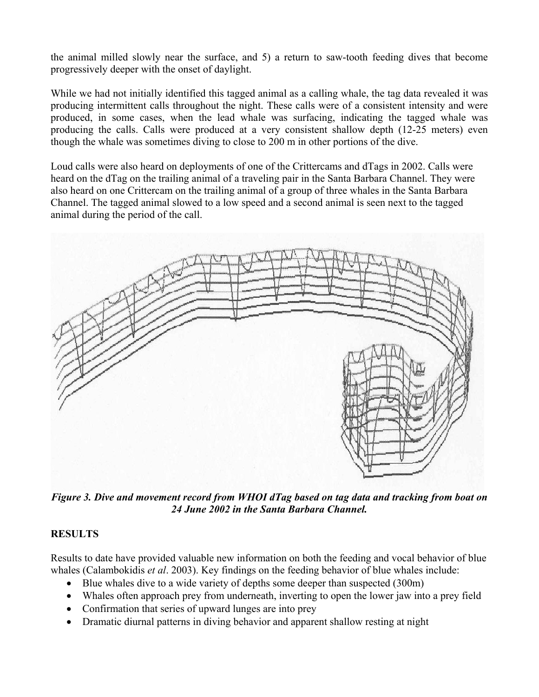the animal milled slowly near the surface, and 5) a return to saw-tooth feeding dives that become progressively deeper with the onset of daylight.

While we had not initially identified this tagged animal as a calling whale, the tag data revealed it was producing intermittent calls throughout the night. These calls were of a consistent intensity and were produced, in some cases, when the lead whale was surfacing, indicating the tagged whale was producing the calls. Calls were produced at a very consistent shallow depth (12-25 meters) even though the whale was sometimes diving to close to 200 m in other portions of the dive.

Loud calls were also heard on deployments of one of the Crittercams and dTags in 2002. Calls were heard on the dTag on the trailing animal of a traveling pair in the Santa Barbara Channel. They were also heard on one Crittercam on the trailing animal of a group of three whales in the Santa Barbara Channel. The tagged animal slowed to a low speed and a second animal is seen next to the tagged animal during the period of the call.



*Figure 3. Dive and movement record from WHOI dTag based on tag data and tracking from boat on 24 June 2002 in the Santa Barbara Channel.* 

#### **RESULTS**

Results to date have provided valuable new information on both the feeding and vocal behavior of blue whales (Calambokidis *et al*. 2003). Key findings on the feeding behavior of blue whales include:

- Blue whales dive to a wide variety of depths some deeper than suspected (300m)
- Whales often approach prey from underneath, inverting to open the lower jaw into a prey field
- Confirmation that series of upward lunges are into prey
- Dramatic diurnal patterns in diving behavior and apparent shallow resting at night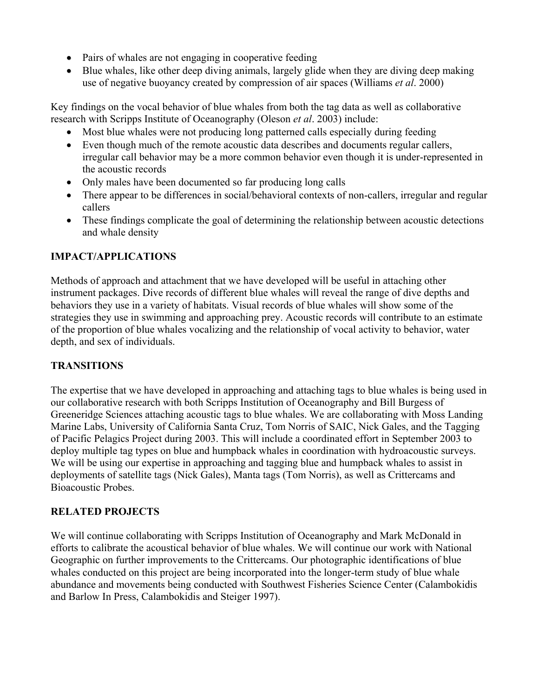- Pairs of whales are not engaging in cooperative feeding
- Blue whales, like other deep diving animals, largely glide when they are diving deep making use of negative buoyancy created by compression of air spaces (Williams *et al*. 2000)

Key findings on the vocal behavior of blue whales from both the tag data as well as collaborative research with Scripps Institute of Oceanography (Oleson *et al*. 2003) include:

- Most blue whales were not producing long patterned calls especially during feeding
- Even though much of the remote acoustic data describes and documents regular callers, irregular call behavior may be a more common behavior even though it is under-represented in the acoustic records
- Only males have been documented so far producing long calls
- There appear to be differences in social/behavioral contexts of non-callers, irregular and regular callers
- These findings complicate the goal of determining the relationship between acoustic detections and whale density

## **IMPACT/APPLICATIONS**

Methods of approach and attachment that we have developed will be useful in attaching other instrument packages. Dive records of different blue whales will reveal the range of dive depths and behaviors they use in a variety of habitats. Visual records of blue whales will show some of the strategies they use in swimming and approaching prey. Acoustic records will contribute to an estimate of the proportion of blue whales vocalizing and the relationship of vocal activity to behavior, water depth, and sex of individuals.

## **TRANSITIONS**

The expertise that we have developed in approaching and attaching tags to blue whales is being used in our collaborative research with both Scripps Institution of Oceanography and Bill Burgess of Greeneridge Sciences attaching acoustic tags to blue whales. We are collaborating with Moss Landing Marine Labs, University of California Santa Cruz, Tom Norris of SAIC, Nick Gales, and the Tagging of Pacific Pelagics Project during 2003. This will include a coordinated effort in September 2003 to deploy multiple tag types on blue and humpback whales in coordination with hydroacoustic surveys. We will be using our expertise in approaching and tagging blue and humpback whales to assist in deployments of satellite tags (Nick Gales), Manta tags (Tom Norris), as well as Crittercams and Bioacoustic Probes.

## **RELATED PROJECTS**

We will continue collaborating with Scripps Institution of Oceanography and Mark McDonald in efforts to calibrate the acoustical behavior of blue whales. We will continue our work with National Geographic on further improvements to the Crittercams. Our photographic identifications of blue whales conducted on this project are being incorporated into the longer-term study of blue whale abundance and movements being conducted with Southwest Fisheries Science Center (Calambokidis and Barlow In Press, Calambokidis and Steiger 1997).